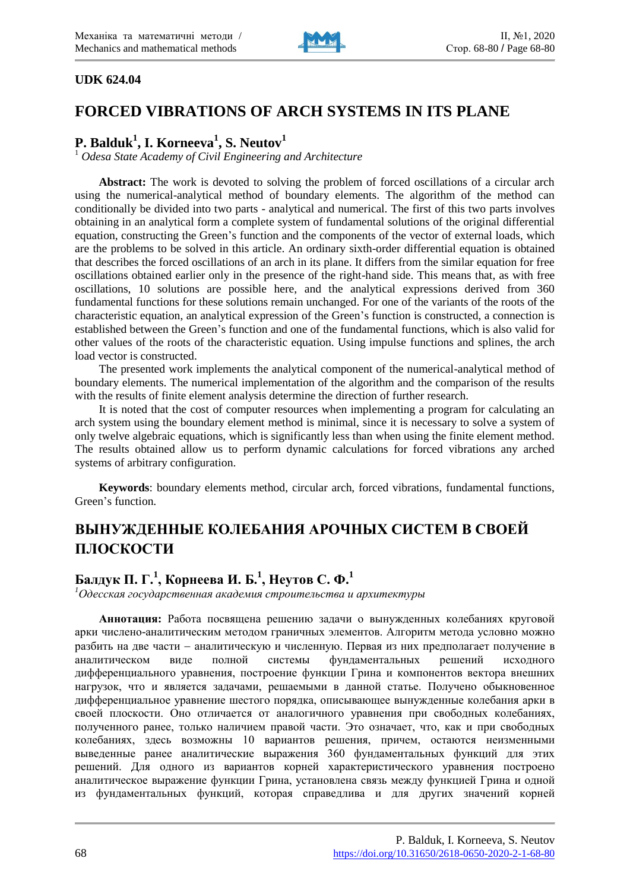

#### **UDK 624.04**

# **FORCED VIBRATIONS OF ARCH SYSTEMS IN ITS PLANE**

## **P. Balduk<sup>1</sup> , I. Korneeva<sup>1</sup> , S. Neutov<sup>1</sup>**

<sup>1</sup> *Odesa State Academy of Civil Engineering and Architecture*

**Abstract:** The work is devoted to solving the problem of forced oscillations of a circular arch using the numerical-analytical method of boundary elements. The algorithm of the method can conditionally be divided into two parts - analytical and numerical. The first of this two parts involves obtaining in an analytical form a complete system of fundamental solutions of the original differential equation, constructing the Green's function and the components of the vector of external loads, which are the problems to be solved in this article. An ordinary sixth-order differential equation is obtained that describes the forced oscillations of an arch in its plane. It differs from the similar equation for free oscillations obtained earlier only in the presence of the right-hand side. This means that, as with free oscillations, 10 solutions are possible here, and the analytical expressions derived from 360 fundamental functions for these solutions remain unchanged. For one of the variants of the roots of the characteristic equation, an analytical expression of the Green's function is constructed, a connection is established between the Green's function and one of the fundamental functions, which is also valid for other values of the roots of the characteristic equation. Using impulse functions and splines, the arch load vector is constructed.

The presented work implements the analytical component of the numerical-analytical method of boundary elements. The numerical implementation of the algorithm and the comparison of the results with the results of finite element analysis determine the direction of further research.

It is noted that the cost of computer resources when implementing a program for calculating an arch system using the boundary element method is minimal, since it is necessary to solve a system of only twelve algebraic equations, which is significantly less than when using the finite element method. The results obtained allow us to perform dynamic calculations for forced vibrations any arched systems of arbitrary configuration.

**Keywords**: boundary elements method, circular arch, forced vibrations, fundamental functions, Green's function.

# **ВЫНУЖДЕННЫЕ КОЛЕБАНИЯ АРОЧНЫХ СИСТЕМ В СВОЕЙ ПЛОСКОСТИ**

## **Балдук П. Г.<sup>1</sup> , Корнеева И. Б.<sup>1</sup> , Неутов С. Ф.<sup>1</sup>**

*<sup>1</sup>Одесская государственная академия строительства и архитектуры*

**Аннотация:** Работа посвящена решению задачи о вынужденных колебаниях круговой арки числено-аналитическим методом граничных элементов. Алгоритм метода условно можно разбить на две части - аналитическую и численную. Первая из них предполагает получение в аналитическом виде полной системы фундаментальных решений исходного дифференциального уравнения, построение функции Грина и компонентов вектора внешних нагрузок, что и является задачами, решаемыми в данной статье. Получено обыкновенное дифференциальное уравнение шестого порядка, описывающее вынужденные колебания арки в своей плоскости. Оно отличается от аналогичного уравнения при свободных колебаниях, полученного ранее, только наличием правой части. Это означает, что, как и при свободных колебаниях, здесь возможны 10 вариантов решения, причем, остаются неизменными выведенные ранее аналитические выражения 360 фундаментальных функций для этих решений. Для одного из вариантов корней характеристического уравнения построено аналитическое выражение функции Грина, установлена связь между функцией Грина и одной из фундаментальных функций, которая справедлива и для других значений корней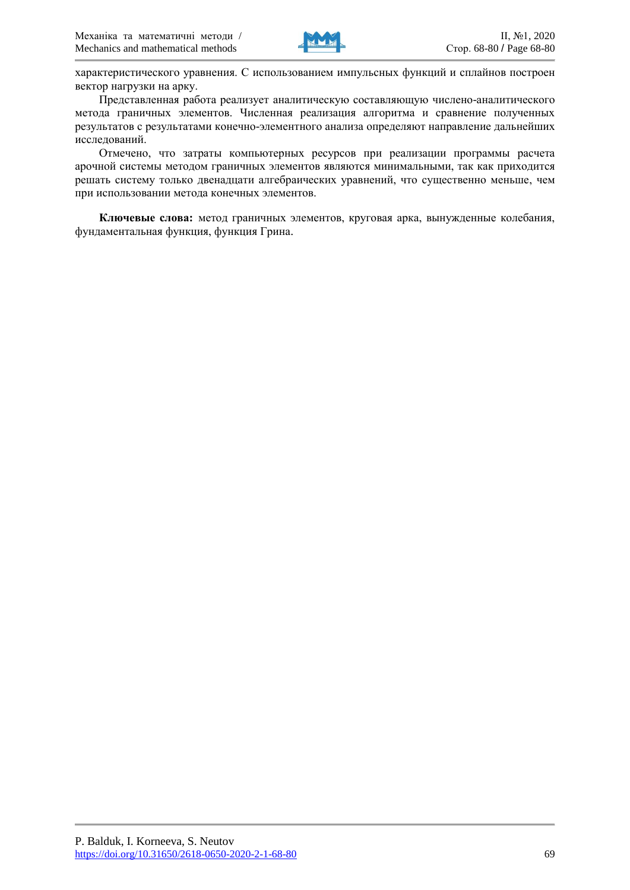

характеристического уравнения. С использованием импульсных функций и сплайнов построен вектор нагрузки на арку.

Представленная работа реализует аналитическую составляющую числено-аналитического метода граничных элементов. Численная реализация алгоритма и сравнение полученных результатов с результатами конечно-элементного анализа определяют направление дальнейших исследований.

Отмечено, что затраты компьютерных ресурсов при реализации программы расчета арочной системы методом граничных элементов являются минимальными, так как приходится решать систему только двенадцати алгебраических уравнений, что существенно меньше, чем при использовании метода конечных элементов.

**Ключевые слова:** метод граничных элементов, круговая арка, вынужденные колебания, фундаментальная функция, функция Грина.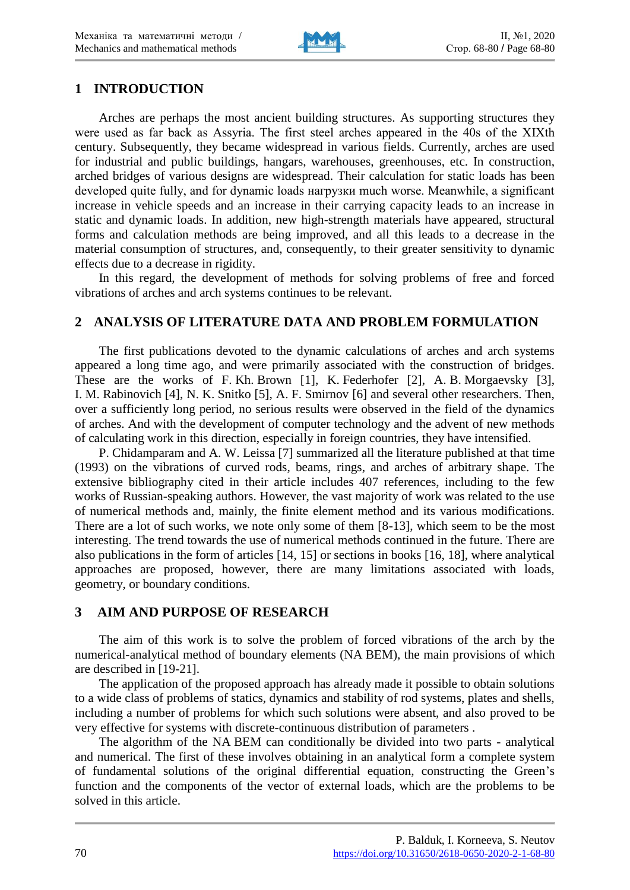

### **1 INTRODUCTION**

Arches are perhaps the most ancient building structures. As supporting structures they were used as far back as Assyria. The first steel arches appeared in the 40s of the ХIХth century. Subsequently, they became widespread in various fields. Currently, arches are used for industrial and public buildings, hangars, warehouses, greenhouses, etc. In construction, arched bridges of various designs are widespread. Their calculation for static loads has been developed quite fully, and for dynamic loads нагрузки much worse. Meanwhile, a significant increase in vehicle speeds and an increase in their carrying capacity leads to an increase in static and dynamic loads. In addition, new high-strength materials have appeared, structural forms and calculation methods are being improved, and all this leads to a decrease in the material consumption of structures, and, consequently, to their greater sensitivity to dynamic effects due to a decrease in rigidity.

In this regard, the development of methods for solving problems of free and forced vibrations of arches and arch systems continues to be relevant.

#### **2 ANALYSIS OF LITERATURE DATA AND PROBLEM FORMULATION**

The first publications devoted to the dynamic calculations of arches and arch systems appeared a long time ago, and were primarily associated with the construction of bridges. These are the works of F. Kh. Brown [1], K. Federhofer [2], A. B. Morgaevsky [3], I. M. Rabinovich [4], N. K. Snitko [5], A. F. Smirnov [6] and several other researchers. Then, over a sufficiently long period, no serious results were observed in the field of the dynamics of arches. And with the development of computer technology and the advent of new methods of calculating work in this direction, especially in foreign countries, they have intensified.

P. Chidamparam and A. W. Leissa [7] summarized all the literature published at that time (1993) on the vibrations of curved rods, beams, rings, and arches of arbitrary shape. The extensive bibliography cited in their article includes 407 references, including to the few works of Russian-speaking authors. However, the vast majority of work was related to the use of numerical methods and, mainly, the finite element method and its various modifications. There are a lot of such works, we note only some of them [8-13], which seem to be the most interesting. The trend towards the use of numerical methods continued in the future. There are also publications in the form of articles [14, 15] or sections in books [16, 18], where analytical approaches are proposed, however, there are many limitations associated with loads, geometry, or boundary conditions.

#### **3 AIM AND PURPOSE OF RESEARCH**

The aim of this work is to solve the problem of forced vibrations of the arch by the numerical-analytical method of boundary elements (NA BEM), the main provisions of which are described in [19-21].

The application of the proposed approach has already made it possible to obtain solutions to a wide class of problems of statics, dynamics and stability of rod systems, plates and shells, including a number of problems for which such solutions were absent, and also proved to be very effective for systems with discrete-continuous distribution of parameters .

The algorithm of the NA BEM can conditionally be divided into two parts - analytical and numerical. The first of these involves obtaining in an analytical form a complete system of fundamental solutions of the original differential equation, constructing the Green's function and the components of the vector of external loads, which are the problems to be solved in this article.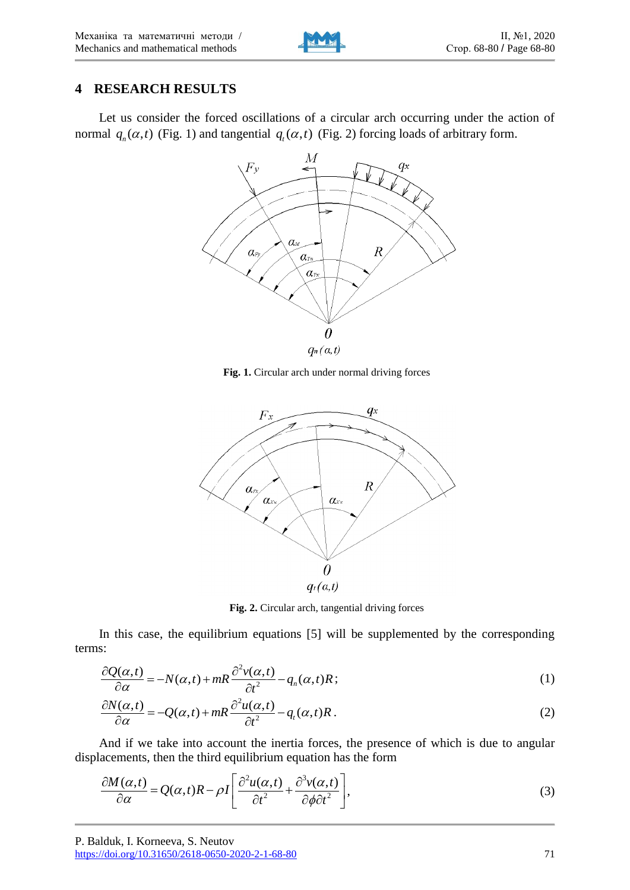### **4 RESEARCH RESULTS**

Let us consider the forced oscillations of a circular arch occurring under the action of normal  $q_n(\alpha, t)$  (Fig. 1) and tangential  $q_t(\alpha, t)$  (Fig. 2) forcing loads of arbitrary form.



**Fig. 1.** Circular arch under normal driving forces



**Fig. 2.** Circular arch, tangential driving forces

In this case, the equilibrium equations [5] will be supplemented by the corresponding terms:

$$
\frac{\partial Q(\alpha,t)}{\partial \alpha} = -N(\alpha,t) + mR \frac{\partial^2 v(\alpha,t)}{\partial t^2} - q_n(\alpha,t)R; \tag{1}
$$

$$
\frac{\partial N(\alpha,t)}{\partial \alpha} = -N(\alpha,t) + mR \frac{\partial^2 u(\alpha,t)}{\partial t^2} - q_n(\alpha,t)R; \tag{1}
$$
\n
$$
\frac{\partial N(\alpha,t)}{\partial \alpha} = -Q(\alpha,t) + mR \frac{\partial^2 u(\alpha,t)}{\partial t^2} - q_n(\alpha,t)R. \tag{2}
$$

And if we take into account the inertia forces, the presence of which is due to angular displacements, then the third equilibrium equation has the form

acements, then the third equilibrium equation has the form  
\n
$$
\frac{\partial M(\alpha, t)}{\partial \alpha} = Q(\alpha, t)R - \rho I \left[ \frac{\partial^2 u(\alpha, t)}{\partial t^2} + \frac{\partial^3 v(\alpha, t)}{\partial \phi \partial t^2} \right],
$$
\n(3)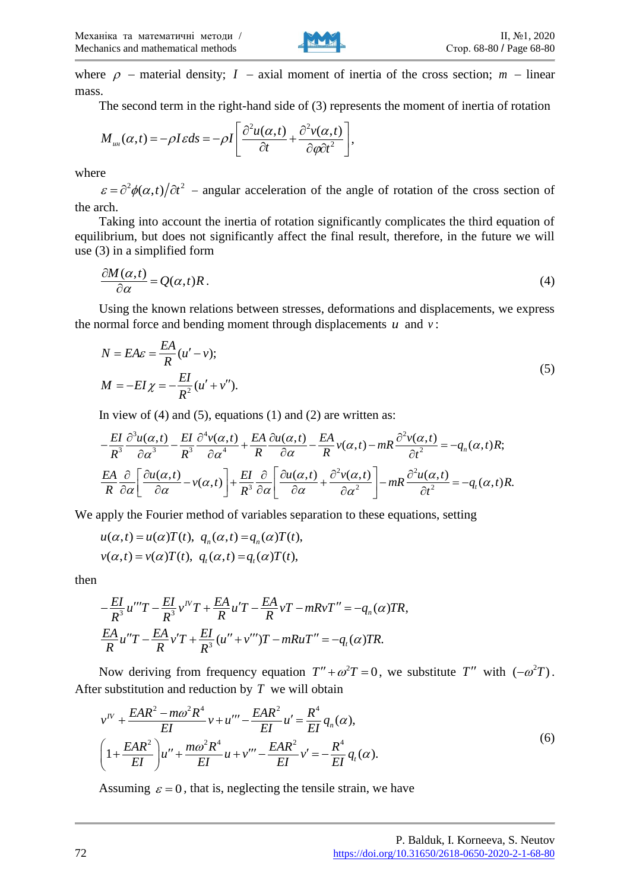

where  $\rho$  – material density;  $I$  – axial moment of inertia of the cross section;  $m$  – linear mass.

The second term in the right-hand side of (3) represents the moment of inertia of rotation

The second term in the right-hand side of (3) represents to  
\n
$$
M_{uu}(\alpha, t) = -\rho I \varepsilon ds = -\rho I \left[ \frac{\partial^2 u(\alpha, t)}{\partial t} + \frac{\partial^2 v(\alpha, t)}{\partial \varphi \partial t^2} \right],
$$

where

 $\epsilon = \partial^2 \phi(\alpha, t)/\partial t^2$  – angular acceleration of the angle of rotation of the cross section of the arch.

Taking into account the inertia of rotation significantly complicates the third equation of equilibrium, but does not significantly affect the final result, therefore, in the future we will use (3) in a simplified form

$$
\frac{\partial M(\alpha,t)}{\partial \alpha} = Q(\alpha,t)R\,. \tag{4}
$$

Using the known relations between stresses, deformations and displacements, we express the normal force and bending moment through displacements  $u$  and  $v$ :

$$
N = EA\varepsilon = \frac{EA}{R}(u' - v);
$$
  
\n
$$
M = -EI\chi = -\frac{EI}{R^2}(u' + v'').
$$
\n(5)

$$
M = -EI \chi = -\frac{E}{R^2} (u + v).
$$
  
\nIn view of (4) and (5), equations (1) and (2) are written as:  
\n
$$
-\frac{EI}{R^3} \frac{\partial^3 u(\alpha, t)}{\partial \alpha^3} - \frac{EI}{R^3} \frac{\partial^4 v(\alpha, t)}{\partial \alpha^4} + \frac{EA}{R} \frac{\partial u(\alpha, t)}{\partial \alpha} - \frac{EA}{R} v(\alpha, t) - mR \frac{\partial^2 v(\alpha, t)}{\partial t^2} = -q_n(\alpha, t)R;
$$
  
\n
$$
\frac{EA}{R} \frac{\partial}{\partial \alpha} \left[ \frac{\partial u(\alpha, t)}{\partial \alpha} - v(\alpha, t) \right] + \frac{EI}{R^3} \frac{\partial}{\partial \alpha} \left[ \frac{\partial u(\alpha, t)}{\partial \alpha} + \frac{\partial^2 v(\alpha, t)}{\partial \alpha^2} \right] - mR \frac{\partial^2 u(\alpha, t)}{\partial t^2} = -q_n(\alpha, t)R.
$$

We apply the Fourier method of variables separation to these equations, setting  $u(\alpha, t) = u(\alpha)T(t)$ ,  $q_n(\alpha, t) = q_n(\alpha)T(t)$ ,

$$
u(\alpha,t) = u(\alpha)T(t), q_n(\alpha,t) = q_n(\alpha)T(t),
$$
  

$$
v(\alpha,t) = v(\alpha)T(t), q_n(\alpha,t) = q_n(\alpha)T(t),
$$

then

$$
-\frac{EI}{R^3}u''T - \frac{EI}{R^3}v''T + \frac{EA}{R}u'T - \frac{EA}{R}vT - mRvT'' = -q_n(\alpha)TR,
$$
  

$$
\frac{EA}{R}u''T - \frac{EA}{R}v'T + \frac{EI}{R^3}(u'' + v''')T - mRuT'' = -q_n(\alpha)TR.
$$

Now deriving from frequency equation  $T'' + \omega^2 T = 0$ , we substitute T'' with  $(-\omega^2 T)$ .

After substitution and reduction by T we will obtain  
\n
$$
v^{IV} + \frac{EAR^2 - m\omega^2 R^4}{EI} v + u^{\prime\prime\prime} - \frac{EAR^2}{EI} u' = \frac{R^4}{EI} q_n(\alpha),
$$
\n
$$
\left(1 + \frac{EAR^2}{EI}\right)u^{\prime\prime} + \frac{m\omega^2 R^4}{EI} u + v^{\prime\prime\prime} - \frac{EAR^2}{EI} v' = -\frac{R^4}{EI} q_t(\alpha).
$$
\n(6)

Assuming  $\varepsilon = 0$ , that is, neglecting the tensile strain, we have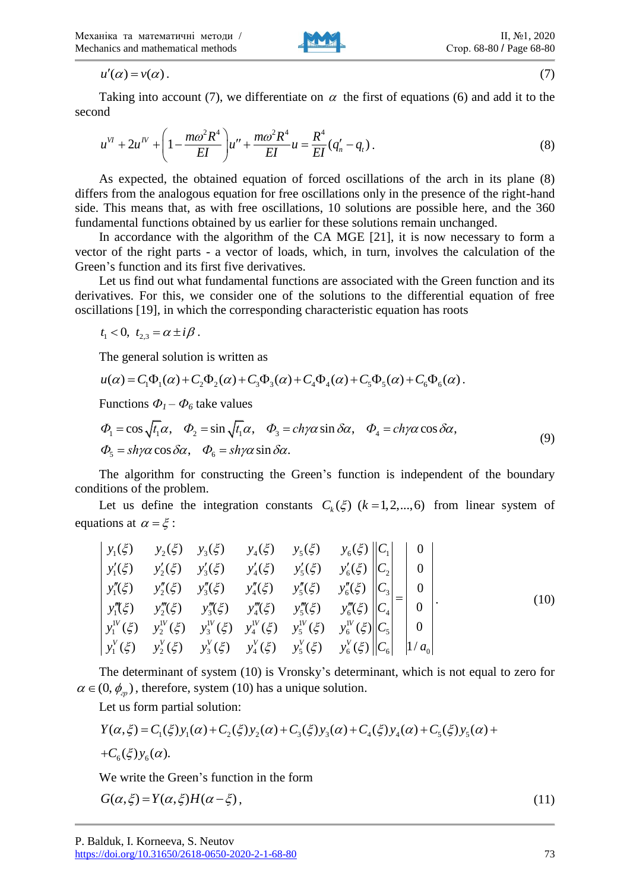$u'(\alpha) = v(\alpha)$ .



$$
(\mathcal{I})
$$

Taking into account (7), we differentiate on  $\alpha$  the first of equations (6) and add it to the second

and  
\n
$$
u^{VI} + 2u^{IV} + \left(1 - \frac{m\omega^2 R^4}{EI}\right)u'' + \frac{m\omega^2 R^4}{EI}u = \frac{R^4}{EI}(q'_n - q_t).
$$
\n(8)

As expected, the obtained equation of forced oscillations of the arch in its plane (8) differs from the analogous equation for free oscillations only in the presence of the right-hand side. This means that, as with free oscillations, 10 solutions are possible here, and the 360 fundamental functions obtained by us earlier for these solutions remain unchanged.

In accordance with the algorithm of the CA MGE [21], it is now necessary to form a vector of the right parts - a vector of loads, which, in turn, involves the calculation of the Green's function and its first five derivatives.

Let us find out what fundamental functions are associated with the Green function and its derivatives. For this, we consider one of the solutions to the differential equation of free oscillations [19], in which the corresponding characteristic equation has roots

 $t_1 < 0, t_{2,3} = \alpha \pm i \beta$ .

The general solution is written as

$$
t_1 < 0, t_{2,3} = \alpha \pm i\beta.
$$
  
The general solution is written as  

$$
u(\alpha) = C_1 \Phi_1(\alpha) + C_2 \Phi_2(\alpha) + C_3 \Phi_3(\alpha) + C_4 \Phi_4(\alpha) + C_5 \Phi_5(\alpha) + C_6 \Phi_6(\alpha).
$$

$$
\mu(\alpha) = C_1 \Phi_1(\alpha) + C_2 \Phi_2(\alpha) + C_3 \Phi_3(\alpha) + C_4 \Phi_4(\alpha) + C_5 \Phi_5(\alpha) + C_6 \Phi_6(\alpha).
$$
\nFunctions  $\Phi_1 - \Phi_6$  take values\n
$$
\Phi_1 = \cos \sqrt{t_1} \alpha, \quad \Phi_2 = \sin \sqrt{t_1} \alpha, \quad \Phi_3 = ch\gamma\alpha \sin \delta\alpha, \quad \Phi_4 = ch\gamma\alpha \cos \delta\alpha,
$$
\n(9)\n
$$
\Phi_5 = sh\gamma\alpha \cos \delta\alpha, \quad \Phi_6 = sh\gamma\alpha \sin \delta\alpha.
$$

The algorithm for constructing the Green's function is independent of the boundary conditions of the problem.

Let us define the integration constants  $C_k(\xi)$  ( $k = 1, 2, ..., 6$ ) from linear system of equations at  $\alpha = \xi$ : is define the integration constants  $C_k(s)$  (*n*)<br>
(*§*)  $y_2(\xi)$   $y_3(\xi)$   $y_4(\xi)$   $y_5(\xi)$   $y_6(\xi)$ ons at  $\alpha = \xi$ :<br>  $y_1(\xi)$   $y_2(\xi)$   $y_3(\xi)$   $y_4(\xi)$   $y_5(\xi)$  y s at  $\alpha = \xi$ :<br>
(5)  $y_2(\xi)$   $y_3(\xi)$   $y_4(\xi)$   $y_5(\xi)$   $y_6(\xi)$   $||C_1||$ 

$$
u'(\alpha) = v(\alpha).
$$
\nTaking into account (7), we differentiate on  $\alpha$  the first of equations (6) and add it to the second

\n
$$
u'' + 2u'' + \left(1 - \frac{m\omega^2 R^4}{EI}\right)u'' + \frac{m\omega^2 R^4}{EI}u = \frac{R^4}{EI}(q'_n - q_i).
$$
\nAs expected, the obtained equation of forced oscillations of the arch in its plane (8) differs from the analogous equation for free oscillations only in the presence of the right-hand side. This means that, as with free oscillations, 10 solutions are possible here, and the 360 than a fundamental functions obtained by us earlier for these solutions remain unchanged. In accordance with the algorithm of the CA MGE [21], it is now necessary to form a vector of the right parts. The vector of leads, which, in turn, involves the calculation of the right parts. For this, we consider one of the solutions to the differential equation of free derivatives. For this, we consider one of the solutions to the differential equation of free  $t_1 < 0$ ,  $t_{2,3} = \alpha \pm i\beta$ .

\nThe general solution is written as

\n
$$
u(\alpha) = C_1\Phi_1(\alpha) + C_2\Phi_2(\alpha) + C_3\Phi_3(\alpha) + C_4\Phi_4(\alpha) + C_5\Phi_5(\alpha) + C_6\Phi_6(\alpha).
$$
\nFunctions  $\Phi_1 = \cos \sqrt{t_1} \alpha$ ,  $\Phi_2 = \sin \sqrt{t_1} \alpha$ ,  $\Phi_3 = ch\gamma\alpha \sin \delta\alpha$ ,  $\Phi_4 = ch\gamma\alpha \cos \delta\alpha$ ,  $\Phi_5 = sh\gamma\alpha \cos \delta\alpha$ ,  $\Phi_6 = sh\gamma\alpha \sin \delta\alpha$ .

\nThe algorithm for constructing the Green's function is independent of the boundary conditions of the problem.

\nLet us define the integration constants  $C_h(\xi)$   $(k = 1, 2, ..., 6)$  from linear system of equations at  $\alpha = \xi$ :

\n
$$
y_1'(\xi) - y_2'(\xi) - y_3'(\xi) - y_4'(\xi) - y_5'(\xi) - y_5'(\xi) - y_6'(\xi) \begin{vmatrix} 0 \\ 0 \\ 0 \\ 0 \end{vmatrix}
$$
\n
$$
y_1''(\xi) - y_2'(\xi) - y_3''(\xi) - y_4''(\xi) - y_5''(\xi) \begin{vmatrix} 0 \\ 0 \\ 0 \\ 0
$$

The determinant of system (10) is Vronsky's determinant, which is not equal to zero for

$$
\alpha \in (0, \phi_{\alpha})
$$
, therefore, system (10) has a unique solution.  
Let us form partial solution:  

$$
Y(\alpha, \xi) = C_1(\xi) y_1(\alpha) + C_2(\xi) y_2(\alpha) + C_3(\xi) y_3(\alpha) + C_4(\xi) y_4(\alpha) + C_5(\xi) y_5(\alpha) + C_6(\xi) y_6(\alpha).
$$

We write the Green's function in the form

$$
G(\alpha,\xi) = Y(\alpha,\xi)H(\alpha-\xi),\tag{11}
$$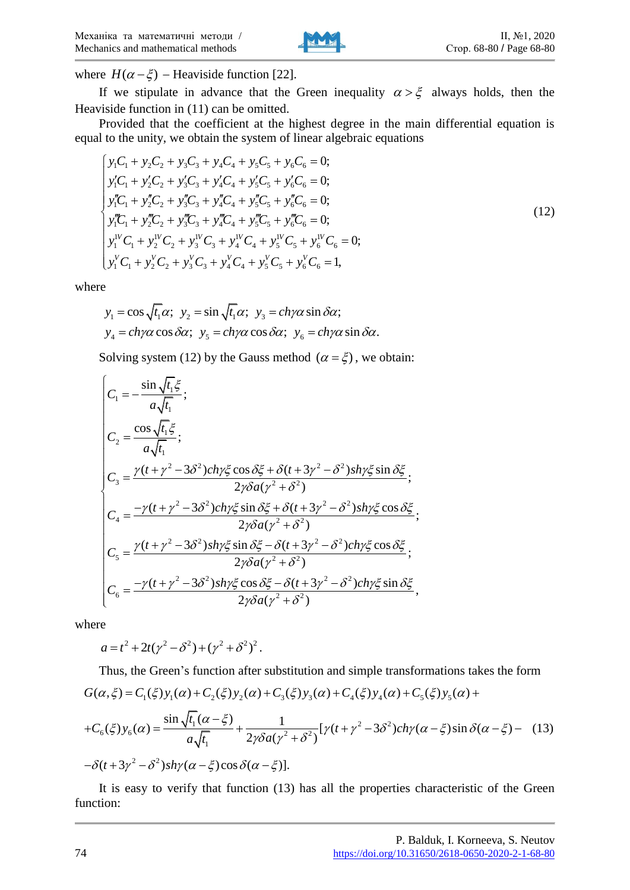

where  $H(\alpha - \xi)$  – Heaviside function [22].

If we stipulate in advance that the Green inequality  $\alpha > \xi$  always holds, then the Heaviside function in (11) can be omitted.

Provided that the coefficient at the highest degree in the main differential equation is

equal to the unity, we obtain the system of linear algebraic equations  
\n
$$
\begin{cases}\ny_1C_1 + y_2C_2 + y_3C_3 + y_4C_4 + y_5C_5 + y_6C_6 = 0; \\
y'_1C_1 + y'_2C_2 + y'_3C_3 + y'_4C_4 + y'_5C_5 + y'_6C_6 = 0; \\
y''_1C_1 + y''_2C_2 + y''_3C_3 + y''_4C_4 + y''_5C_5 + y''_6C_6 = 0; \\
y''_1C_1 + y''_2C_2 + y''_3C_3 + y''_4C_4 + y''_5C_5 + y''_6C_6 = 0; \\
y''_1C_1 + y''_2C_2 + y''_3C_3 + y''_4C_4 + y''_5C_5 + y''_6C_6 = 0; \\
y''_1C_1 + y''_2C_2 + y''_3C_3 + y''_4C_4 + y''_5C_5 + y''_6C_6 = 1,\n\end{cases}
$$
\n(12)

where

$$
y_1 = \cos\sqrt{t_1}\alpha; \ \ y_2 = \sin\sqrt{t_1}\alpha; \ \ y_3 = ch\gamma\alpha\sin\delta\alpha; \n y_4 = ch\gamma\alpha\cos\delta\alpha; \ \ y_5 = ch\gamma\alpha\cos\delta\alpha; \ \ y_6 = ch\gamma\alpha\sin\delta\alpha.
$$

Solving system (12) by the Gauss method 
$$
(\alpha = \xi)
$$
, we obtain:  
\n
$$
\begin{cases}\nC_1 = -\frac{\sin \sqrt{t_1} \xi}{a \sqrt{t_1}}; \\
C_2 = \frac{\cos \sqrt{t_1} \xi}{a \sqrt{t_1}}; \\
C_3 = \frac{\gamma (t + \gamma^2 - 3\delta^2) ch\gamma \xi \cos \delta \xi + \delta (t + 3\gamma^2 - \delta^2) sh\gamma \xi \sin \delta \xi}{2\gamma \delta a (\gamma^2 + \delta^2)}; \\
C_4 = \frac{-\gamma (t + \gamma^2 - 3\delta^2) ch\gamma \xi \sin \delta \xi + \delta (t + 3\gamma^2 - \delta^2) sh\gamma \xi \cos \delta \xi}{2\gamma \delta a (\gamma^2 + \delta^2)}; \\
C_5 = \frac{\gamma (t + \gamma^2 - 3\delta^2) sh\gamma \xi \sin \delta \xi - \delta (t + 3\gamma^2 - \delta^2) ch\gamma \xi \cos \delta \xi}{2\gamma \delta a (\gamma^2 + \delta^2)}; \\
C_6 = \frac{-\gamma (t + \gamma^2 - 3\delta^2) sh\gamma \xi \cos \delta \xi - \delta (t + 3\gamma^2 - \delta^2) ch\gamma \xi \sin \delta \xi}{2\gamma \delta a (\gamma^2 + \delta^2)},\n\end{cases}
$$

where

$$
a = t^2 + 2t(\gamma^2 - \delta^2) + (\gamma^2 + \delta^2)^2.
$$

Thus, the Green's function after substitution and simple transformations takes the form  $a = t^2 + 2t(\gamma^2 - \delta^2) + (\gamma^2 + \delta^2)^2$ .<br>Thus, the Green's function after substitution and simple transformations takes the form<br> $G(\alpha, \xi) = C_1(\xi) y_1(\alpha) + C_2(\xi) y_2(\alpha) + C_3(\xi) y_3(\alpha) + C_4(\xi) y_4(\alpha) + C_5(\xi) y_5(\alpha) +$ + C<sub>2</sub>( $\zeta$ )y<sub>2</sub>( $\alpha$ ) + C<sub>3</sub>( $\zeta$ )y<sub>3</sub>( $\alpha$ ) + C<sub>4</sub>( $\zeta$ )y<sub>4</sub>( $\alpha$ )<br>  $\frac{1}{\sqrt{1-\frac{1}{2}}}$ <br>  $\frac{1}{\sqrt{1-\frac{1}{2}}}\left[\gamma(t+\gamma^2-3\delta^2)\right]$  $J_6(\xi)y_6(\alpha) = \frac{\sin \sqrt{t_1}(\alpha - \xi)}{a\sqrt{t_1}} + \frac{1}{2\gamma\delta a(\gamma^2 + \delta^2)}$  $(\alpha)$  -<br> $(\alpha)$  -  $\delta$ <sup>2</sup> sin  $\sqrt{t_1(\alpha)} + C_2(\xi)y_2(\alpha) + C_3$ <br> $\frac{\sin \sqrt{t_1(\alpha - \xi)}}{\sqrt{t_2(\alpha - \xi)}} + \frac{1}{2\alpha \xi \sigma(\alpha)}$  $\mathcal{L}_1(\xi) = C_1(\xi) y_1(\alpha) + C_2(\xi) y_2(\alpha) + C_3(\xi) y_3(\alpha) + C_4(\xi) y_4(\alpha) + C_5(\xi) y_5(\alpha) +$ <br>  $(\xi) y_6(\alpha) = \frac{\sin \sqrt{t_1(\alpha - \xi)}}{a \sqrt{t_1}} + \frac{1}{2\gamma \delta a (\gamma^2 + \delta^2)} [\gamma (t + \gamma^2 - 3\delta^2) ch \gamma (\alpha - \xi) \sin \delta(\alpha - \xi)]$  $(\alpha)$  +  $C_3(\xi)y_3(\frac{1}{2\gamma\delta a(\gamma^2+\delta^2)})$  $\mathcal{L}_6(\xi) y_6(\alpha) = \frac{\sin \sqrt{t_1}(\alpha - \xi)}{a \sqrt{t_1}} + \frac{1}{2\gamma \delta a(\gamma^2)}$ <br> $(t + 3\gamma^2 - \delta^2) sh\gamma(\alpha - \xi) \cos \delta(\alpha - \xi)].$ *C<sub>6</sub>*( $\xi$ )  $y_6(\alpha) = \frac{\sin \sqrt{t_1}(\alpha - \xi)}{a\sqrt{t_1}} + \frac{1}{2\gamma\delta a(\gamma^2 + \delta^2)} [y_1(t + \gamma^2 - 3\delta^2)]ch$  $f + C_2(\xi)y_2(\alpha) +$ <br> $\frac{f_{t_1}(\alpha - \xi)}{a\sqrt{t_1}} + \frac{f_{t_2}(\alpha - \xi)}{2\gamma\delta a}$  $(\xi)y_6(\alpha) = \frac{\sin \theta}{t}$ <br>t + 3y<sup>2</sup> -  $\delta^2$ )sh inction after substitude  $C_2(\xi)y_2(\alpha) + C_3(\xi)$ <br> $\frac{\alpha-\xi}{\sqrt{2\pi}} + \frac{1}{2\sqrt{2\pi}}$ thus, the Green's function after substitution and simple transformations takes the form<br>  $\zeta$ ) = C<sub>1</sub>( $\xi$ )y<sub>1</sub>( $\alpha$ ) + C<sub>2</sub>( $\xi$ )y<sub>2</sub>( $\alpha$ ) + C<sub>3</sub>( $\xi$ )y<sub>3</sub>( $\alpha$ ) + C<sub>4</sub>( $\xi$ )y<sub>4</sub>( $\alpha$ ) + C<sub>5</sub>( $\xi$ )y<sub>5</sub>( $\alpha$ ) +<br>  $\zeta$ <sub>5</sub>  $\alpha$ ) + C<sub>3</sub>( $\xi$ ) y<sub>3</sub>( $\alpha$ ) + C<sub>4</sub>( $\xi$ )<br>  $\frac{1}{\alpha^{3/2}} [\gamma(t + \gamma^{2} - \gamma^{3/2})]$  $C_6(\xi)y_6(\alpha) = \frac{\sin\sqrt{t_1}(\alpha-\xi)}{a\sqrt{t_1}} + \frac{1}{2\gamma\delta a(\gamma^2+\delta^2)}[\gamma(t-\delta(t+3\gamma^2-\delta^2))sh\gamma(\alpha-\xi)\cos\delta(\alpha-\xi)].$ Thus, the Green's function after substitution and simple transformations takes the form<br>  $G(\alpha,\xi) = C_1(\xi)y_1(\alpha) + C_2(\xi)y_2(\alpha) + C_3(\xi)y_3(\alpha) + C_4(\xi)y_4(\alpha) + C_5(\xi)y_5(\alpha) +$ <br>  $+ C_6(\xi)y_6(\alpha) = \frac{\sin \sqrt{t_1}(\alpha - \xi)}{a\sqrt{t_1}} + \frac{1}{2\gamma \delta a(\gamma^2 + \delta^2$ + $C_6(\xi)y_6(\alpha) = \frac{\sin\sqrt{t_1}(\alpha-\xi)}{a\sqrt{t_1}} + \frac{1}{2\gamma\delta a(\gamma^2+\delta^2)}[\gamma(\alpha-\delta(t+3\gamma^2-\delta^2))sh\gamma(\alpha-\xi)\cos\delta(\alpha-\xi)].$ (13)

It is easy to verify that function (13) has all the properties characteristic of the Green function: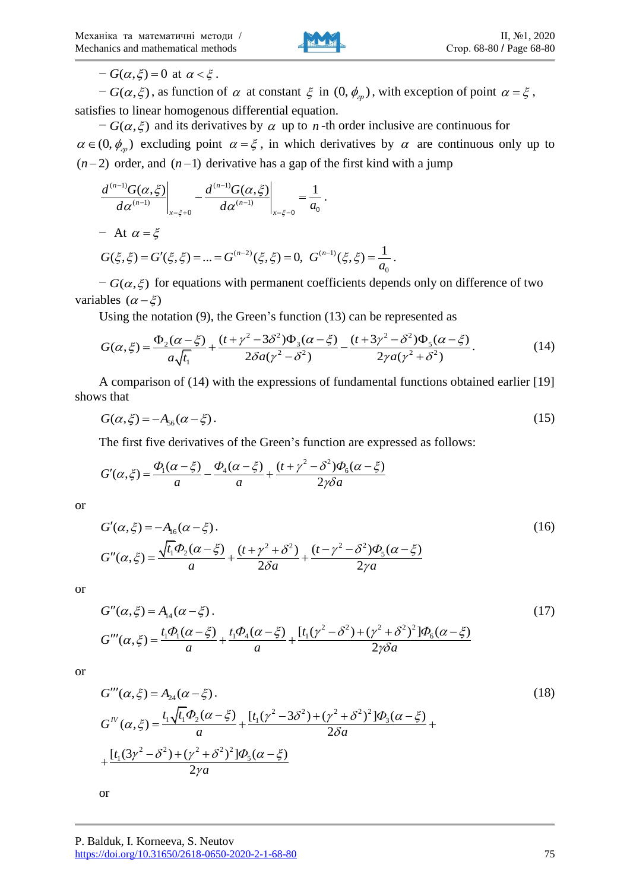

 $-G(\alpha,\xi) = 0$  at  $\alpha < \xi$ .

 $-G(\alpha,\xi)$ , as function of  $\alpha$  at constant  $\xi$  in  $(0,\phi_{\alpha}^{\beta})$ , with exception of point  $\alpha = \xi$ , satisfies to linear homogenous differential equation.

 $-G(\alpha, \xi)$  and its derivatives by  $\alpha$  up to *n*-th order inclusive are continuous for  $\alpha \in (0, \phi_{p})$  excluding point  $\alpha = \xi$ , in which derivatives by  $\alpha$  are continuous only up to

(*n*-2) order, and (*n*-1) derivative has a gap of the first kind with a jump  
\n
$$
\frac{d^{(n-1)}G(\alpha,\xi)}{d\alpha^{(n-1)}}\bigg|_{x=\xi+0} - \frac{d^{(n-1)}G(\alpha,\xi)}{d\alpha^{(n-1)}}\bigg|_{x=\xi-0} = \frac{1}{a_0}.
$$
\n- At  $\alpha = \xi$   
\n $G(\xi,\xi) = G'(\xi,\xi) = ... = G^{(n-2)}(\xi,\xi) = 0, G^{(n-1)}(\xi,\xi) = \frac{1}{a_0}.$ 

 $-G(\alpha, \xi)$  for equations with permanent coefficients depends only on difference of two variables  $(\alpha - \xi)$ 

Using the notation (9), the Green's function (13) can be represented as<br>  $\Phi_2(\alpha - \xi) = (t + \gamma^2 - 3\delta^2)\Phi_3(\alpha - \xi) = (t + 3\gamma^2 - \delta^2)\Phi_5(\alpha - \xi)$ 

bles 
$$
(\alpha - \xi)
$$
  
\nUsing the notation (9), the Green's function (13) can be represented as  
\n
$$
G(\alpha, \xi) = \frac{\Phi_2(\alpha - \xi)}{a\sqrt{t_1}} + \frac{(t + \gamma^2 - 3\delta^2)\Phi_3(\alpha - \xi)}{2\delta a(\gamma^2 - \delta^2)} - \frac{(t + 3\gamma^2 - \delta^2)\Phi_5(\alpha - \xi)}{2\gamma a(\gamma^2 + \delta^2)}.
$$
\n(14)

A comparison of (14) with the expressions of fundamental functions obtained earlier [19] shows that

$$
G(\alpha,\xi) = -A_{56}(\alpha - \xi). \tag{15}
$$

The first five derivatives of the Green's function are expressed as follows:<br>  $\Phi(\alpha - \xi) = \Phi(\alpha - \xi) = (t + \gamma^2 - \delta^2)\Phi(\alpha - \xi)$ 

The first five derivatives of the Green's function are expressed as follows:  
\n
$$
G'(\alpha,\xi) = \frac{\Phi_1(\alpha - \xi)}{a} - \frac{\Phi_4(\alpha - \xi)}{a} + \frac{(t + \gamma^2 - \delta^2)\Phi_6(\alpha - \xi)}{2\gamma\delta a}
$$

or

$$
G'(\alpha, \xi) = -A_{16}(\alpha - \xi).
$$
  
\n
$$
G''(\alpha, \xi) = \frac{\sqrt{t_1} \Phi_2(\alpha - \xi)}{a} + \frac{(t + \gamma^2 + \delta^2)}{2\delta a} + \frac{(t - \gamma^2 - \delta^2) \Phi_5(\alpha - \xi)}{2\gamma a}
$$
\n(16)

or

$$
G''(\alpha,\xi) = A_{14}(\alpha - \xi).
$$
  
\n
$$
G'''(\alpha,\xi) = \frac{t_1 \Phi_1(\alpha - \xi)}{a} + \frac{t_1 \Phi_4(\alpha - \xi)}{a} + \frac{[t_1(\gamma^2 - \delta^2) + (\gamma^2 + \delta^2)^2] \Phi_6(\alpha - \xi)}{2\gamma \delta a}
$$
\n(17)

or

$$
G'''(\alpha, \xi) = A_{24}(\alpha - \xi).
$$
  
\n
$$
G^{IV}(\alpha, \xi) = \frac{t_1 \sqrt{t_1} \Phi_2(\alpha - \xi)}{a} + \frac{[t_1(\gamma^2 - 3\delta^2) + (\gamma^2 + \delta^2)^2] \Phi_3(\alpha - \xi)}{2\delta a} + \frac{[t_1(3\gamma^2 - \delta^2) + (\gamma^2 + \delta^2)^2] \Phi_5(\alpha - \xi)}{2\gamma a}
$$
\n(18)

or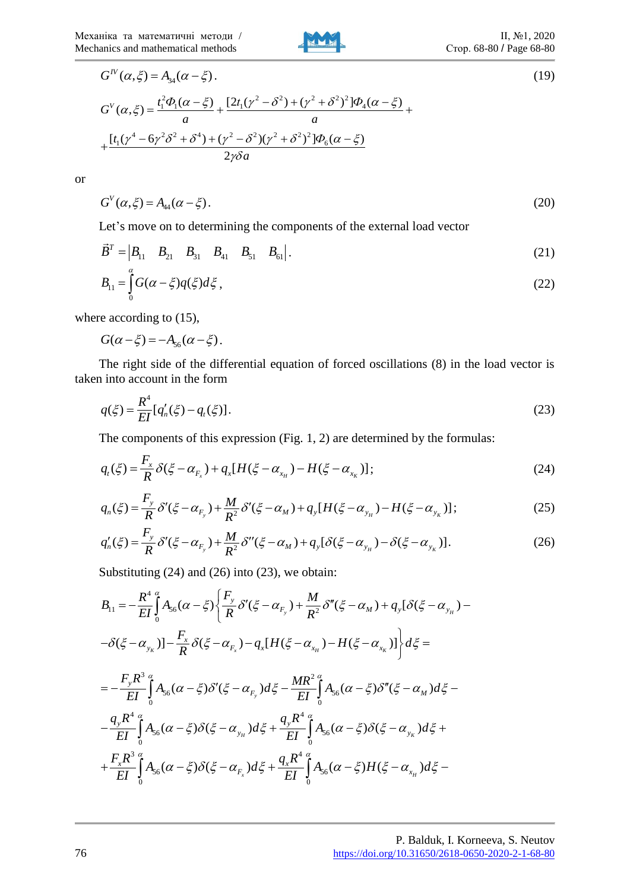

$$
G^{IV}(\alpha,\xi) = A_{34}(\alpha - \xi).
$$
\n
$$
G^{V}(\alpha,\xi) = \frac{t_1^2 \Phi_1(\alpha - \xi)}{a} + \frac{[2t_1(\gamma^2 - \delta^2) + (\gamma^2 + \delta^2)^2] \Phi_4(\alpha - \xi)}{a} + \frac{[t_1(\gamma^4 - 6\gamma^2 \delta^2 + \delta^4) + (\gamma^2 - \delta^2)(\gamma^2 + \delta^2)^2] \Phi_6(\alpha - \xi)}{2\gamma \delta a}
$$
\n(19)

or

$$
G^V(\alpha,\xi) = A_{44}(\alpha - \xi). \tag{20}
$$

Let's move on to determining the components of the external load vector

$$
\vec{B}^T = \begin{vmatrix} B_{11} & B_{21} & B_{31} & B_{41} & B_{51} & B_{61} \end{vmatrix}.
$$
 (21)

$$
B_{11} = \int_{0}^{\alpha} G(\alpha - \xi) q(\xi) d\xi,
$$
\n(22)

where according to  $(15)$ ,

 $G(\alpha - \xi) = -A_{56}(\alpha - \xi)$ .

The right side of the differential equation of forced oscillations (8) in the load vector is taken into account in the form

$$
q(\xi) = \frac{R^4}{EI} [q'_n(\xi) - q_i(\xi)].
$$
\n(23)

The components of this expression (Fig. 1, 2) are determined by the formulas:  
\n
$$
q_{i}(\xi) = \frac{F_{x}}{R} \delta(\xi - \alpha_{F_{x}}) + q_{x}[H(\xi - \alpha_{x_{H}}) - H(\xi - \alpha_{x_{K}})];
$$
\n
$$
q_{n}(\xi) = \frac{F_{y}}{R} \delta'(\xi - \alpha_{F_{y}}) + \frac{M}{R^{2}} \delta'(\xi - \alpha_{M}) + q_{y}[H(\xi - \alpha_{y_{H}}) - H(\xi - \alpha_{y_{K}})];
$$
\n(25)

$$
q_{t}(\xi) = \frac{1}{R} \delta(\xi - \alpha_{F_{x}}) + q_{x}[H(\xi - \alpha_{x_{H}}) - H(\xi - \alpha_{x_{K}})];
$$
\n
$$
q_{n}(\xi) = \frac{F_{y}}{R} \delta'(\xi - \alpha_{F_{y}}) + \frac{M}{R^{2}} \delta'(\xi - \alpha_{M}) + q_{y}[H(\xi - \alpha_{y_{H}}) - H(\xi - \alpha_{y_{K}})];
$$
\n
$$
q_{n}'(\xi) = \frac{F_{y}}{R} \delta'(\xi - \alpha_{F_{y}}) + \frac{M}{R^{2}} \delta''(\xi - \alpha_{M}) + q_{y}[\delta(\xi - \alpha_{y_{H}}) - \delta(\xi - \alpha_{y_{K}})].
$$
\n(26)

$$
q_{n}(\xi) = \frac{F_{y}}{R} \delta'(\xi - \alpha_{F_{y}}) + \frac{M}{R^{2}} \delta'(\xi - \alpha_{M}) + q_{y}[H(\xi - \alpha_{y_{H}}) - H(\xi - \alpha_{y_{K}})];
$$
\n
$$
q_{n}'(\xi) = \frac{F_{y}}{R} \delta'(\xi - \alpha_{F_{y}}) + \frac{M}{R^{2}} \delta''(\xi - \alpha_{M}) + q_{y}[\delta(\xi - \alpha_{y_{H}}) - \delta(\xi - \alpha_{y_{K}})].
$$
\n(26)

Substituting (24) and (26) into (23), we obtain:

Substituting (24) and (26) into (23), we obtain:  
\n
$$
B_{11} = -\frac{R^4}{EI} \int_0^a A_{56}(\alpha - \xi) \left\{ \frac{F_y}{R} \delta'(\xi - \alpha_{F_y}) + \frac{M}{R^2} \delta''(\xi - \alpha_M) + q_y[\delta(\xi - \alpha_{y_H}) - \delta(\xi - \alpha_{y_K})] - \frac{F_x}{R} \delta(\xi - \alpha_{F_x}) - q_x[H(\xi - \alpha_{x_H}) - H(\xi - \alpha_{x_K})] \right\} d\xi =
$$
\n
$$
= -\frac{F_y R^3}{EI} \int_0^a A_{56}(\alpha - \xi) \delta'(\xi - \alpha_{F_y}) d\xi - \frac{MR^2}{EI} \int_0^{\alpha} A_{56}(\alpha - \xi) \delta''(\xi - \alpha_M) d\xi - \frac{q_y R^4}{EI} \int_0^{\alpha} A_{56}(\alpha - \xi) \delta(\xi - \alpha_{y_H}) d\xi + \frac{q_y R^4}{EI} \int_0^{\alpha} A_{56}(\alpha - \xi) \delta(\xi - \alpha_{y_H}) d\xi + \frac{F_x R^3}{EI} \int_0^{\alpha} A_{56}(\alpha - \xi) \delta(\xi - \alpha_{F_x}) d\xi + \frac{q_x R^4}{EI} \int_0^{\alpha} A_{56}(\alpha - \xi) H(\xi - \alpha_{x_H}) d\xi -
$$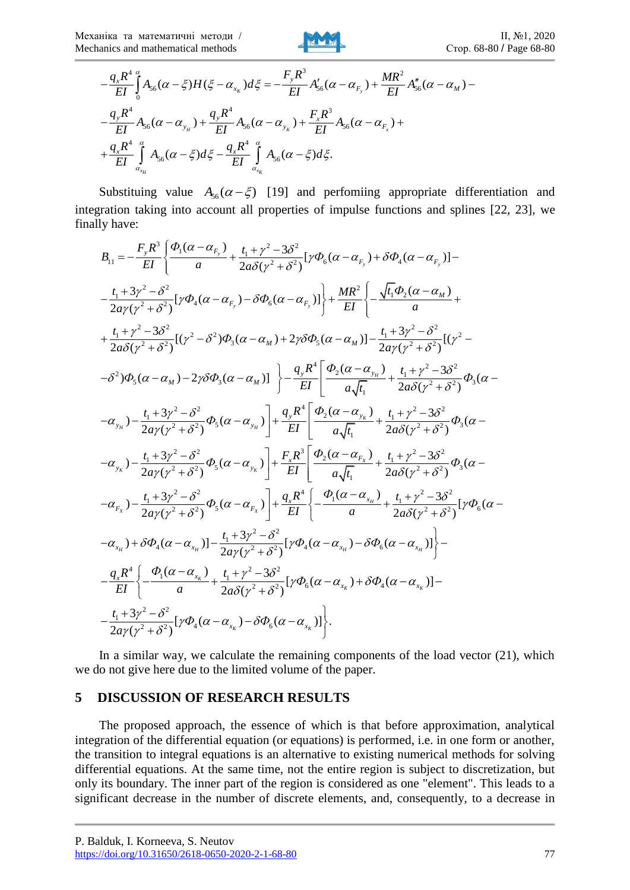

4 3 2 56 56 56 0 4 4 <sup>3</sup> 56 56 56 4 4 56 56 ( ) ( ) ( ) ( ) ( ) ( ) ( ) ( ) ( ) . *K y H K x x x H K x y x F M y y <sup>x</sup> y y F x x q R F R MR A H d A A EI EI EI q R q R F R A A A EI EI EI q R q R A d A d EI EI* 

Substituing value  $A_{56}(\alpha - \xi)$  [19] and perfomiing appropriate differentiation and integration taking into account all properties of impulse functions and splines [22, 23], we finally have:<br>  $B_{11} = -\frac{F_y R^3}{rL} \left\{ \frac{\Phi_1 (\alpha - \alpha_{F_y})}{rL} + \frac{t_1 + \gamma^2 - 3\delta^2}{2\sigma^2} [\gamma \Phi_6 (\alpha - \alpha_F) + \delta \Phi_4 (\alpha - \alpha_F)] - \right\}$ finally have: <sup>3</sup>  $\left[ \phi_1(\alpha - \alpha_{F_y}) \right] t_1 + \gamma^2 - 3\delta^2$ raking into account a<br>  $\frac{F_y R^3}{F I} \left\{ \frac{\Phi_1 (\alpha - \alpha_{F_y})}{\alpha} + \frac{t}{2} \right\}$ on taking into account all properties of impulse functions and splines [22, 2<br>ave:<br>=  $-\frac{F_y R^3}{EI} \left\{ \frac{\Phi_1(\alpha - \alpha_{F_y})}{a} + \frac{t_1 + \gamma^2 - 3\delta^2}{2a\delta(\gamma^2 + \delta^2)} [\gamma \Phi_6(\alpha - \alpha_{F_y}) + \delta \Phi_4(\alpha - \alpha_{F_y})] - \frac{F_y R^3}{2a\delta(\gamma^2 + \delta^2)} [\gamma \Phi_6(\alpha - \alpha_{$ 

tration taking into account all properties of impulse functions and splines [22, 23], we  
\nly have:  
\n
$$
B_{11} = -\frac{F_y R^3}{EI} \left\{ \frac{\phi_1(\alpha - \alpha_{F_y})}{a} + \frac{t_1 + \gamma^2 - 3\delta^2}{2a\delta(\gamma^2 + \delta^2)} [\gamma \phi_6(\alpha - \alpha_{F_y}) + \delta \phi_4(\alpha - \alpha_{F_y})] - \frac{t_1 + 3\gamma^2 - \delta^2}{2a\gamma(\gamma^2 + \delta^2)} [\gamma \phi_4(\alpha - \alpha_{F_y}) - \delta \phi_6(\alpha - \alpha_{F_y})] \right\} + \frac{MR^2}{EI} \left\{ -\frac{\sqrt{t_1 \phi_2(\alpha - \alpha_M)}}{a} + \frac{\sqrt{t_1 \phi_2(\alpha - \alpha_M)}}{2a\gamma(\gamma^2 + \delta^2)} [(\gamma^2 - \delta^2) \phi_3(\alpha - \alpha_M) + 2\gamma \delta \phi_5(\alpha - \alpha_M)] - \frac{t_1 + 3\gamma^2 - \delta^2}{2a\gamma(\gamma^2 + \delta^2)} [(\gamma^2 - \delta^2) \phi_5(\alpha - \alpha_M) - 2\gamma \delta \phi_3(\alpha - \alpha_M)] \right\} - \frac{q_y R^4}{EI} \left[ \frac{\phi_2(\alpha - \alpha_{y_x})}{a\sqrt{t_1}} + \frac{t_1 + \gamma^2 - 3\delta^2}{2a\delta(\gamma^2 + \delta^2)} \phi_5(\alpha - \alpha_{y_x}) - \frac{t_1 + 3\gamma^2 - \delta^2}{2a\gamma(\gamma^2 + \delta^2)} \phi_5(\alpha - \alpha_{y_x}) \right] + \frac{q_y R^4}{EI} \left[ \frac{\phi_2(\alpha - \alpha_{y_x})}{a\sqrt{t_1}} + \frac{t_1 + \gamma^2 - 3\delta^2}{2a\delta(\gamma^2 + \delta^2)} \phi_5(\alpha - \alpha_{y_x}) - \frac{t_1 + 3\gamma^2 - \delta^2}{2a\gamma(\gamma^2 + \delta^2)} \phi_5(\alpha - \alpha_{y_x}) \right] + \frac{F_x R^3}{EI} \left[ \frac{\phi_2(\alpha - \alpha_{y_x})}{a\sqrt{t_1}} + \frac{t_1 + \gamma^2 - 3\delta^2}{2a\delta(\gamma^2 + \delta^2)} \phi_5(\alpha - \alpha_{y_x}) - \frac{
$$

In a similar way, we calculate the remaining components of the load vector  $(21)$ , which we do not give here due to the limited volume of the paper.

#### **5 DISCUSSION OF RESEARCH RESULTS**

The proposed approach, the essence of which is that before approximation, analytical integration of the differential equation (or equations) is performed, i.e. in one form or another, the transition to integral equations is an alternative to existing numerical methods for solving differential equations. At the same time, not the entire region is subject to discretization, but only its boundary. The inner part of the region is considered as one "element". This leads to a significant decrease in the number of discrete elements, and, consequently, to a decrease in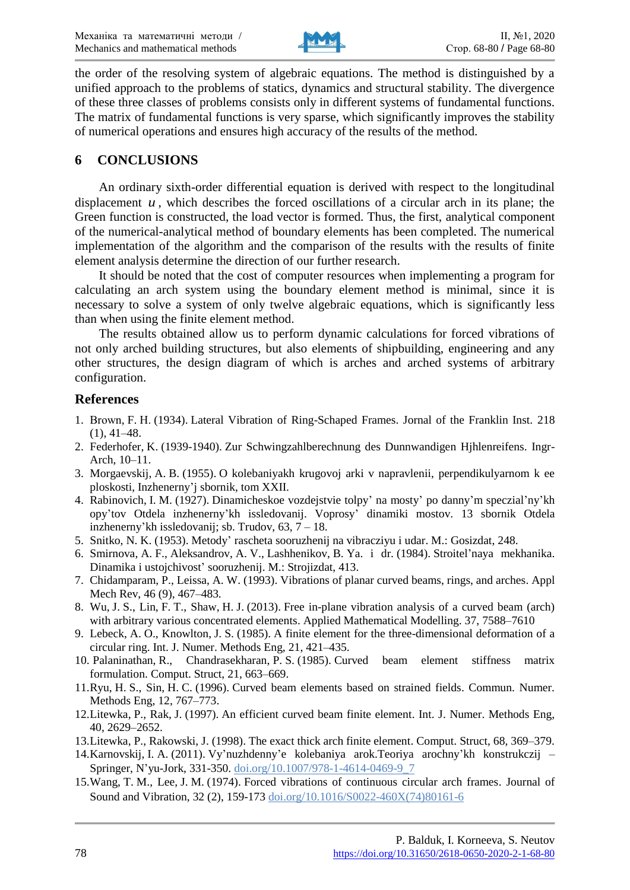

the order of the resolving system of algebraic equations. The method is distinguished by a unified approach to the problems of statics, dynamics and structural stability. The divergence of these three classes of problems consists only in different systems of fundamental functions. The matrix of fundamental functions is very sparse, which significantly improves the stability of numerical operations and ensures high accuracy of the results of the method.

## **6 CONCLUSIONS**

An ordinary sixth-order differential equation is derived with respect to the longitudinal displacement  $u$ , which describes the forced oscillations of a circular arch in its plane; the Green function is constructed, the load vector is formed. Thus, the first, analytical component of the numerical-analytical method of boundary elements has been completed. The numerical implementation of the algorithm and the comparison of the results with the results of finite element analysis determine the direction of our further research.

It should be noted that the cost of computer resources when implementing a program for calculating an arch system using the boundary element method is minimal, since it is necessary to solve a system of only twelve algebraic equations, which is significantly less than when using the finite element method.

The results obtained allow us to perform dynamic calculations for forced vibrations of not only arched building structures, but also elements of shipbuilding, engineering and any other structures, the design diagram of which is arches and arched systems of arbitrary configuration.

### **References**

- 1. Вrown, F. Н. (1934). Lateral Vibration of Ring-Schaped Frames. Jornal of the Franklin Inst. 218  $(1), 41-48.$
- 2. Federhofer, K. (1939-1940). Zur Schwingzahlberechnung des Dunnwandigen Hjhlenreifens. Ingr-Arch, 10–11.
- 3. Morgaevskij, A. B. (1955). O kolebaniyakh krugovoj arki v napravlenii, perpendikulyarnom k ee ploskosti, Inzhenerny'j sbornik, tom XXII.
- 4. Rabinovich, I. M. (1927). Dinamicheskoe vozdejstvie tolpy' na mosty' po danny'm speczial'ny'kh opy'tov Otdela inzhenerny'kh issledovanij. Voprosy' dinamiki mostov. 13 sbornik Otdela inzhenerny'kh issledovanij; sb. Trudov,  $63, \overline{7} - 18$ .
- 5. Snitko, N. K. (1953). Metody' rascheta sooruzhenij na vibracziyu i udar. M.: Gosizdat, 248.
- 6. Smirnova, A. F., Aleksandrov, A. V., Lashhenikov, B. Ya. i dr. (1984). Stroitel'naya mekhanika. Dinamika i ustojchivost' sooruzhenij. M.: Strojizdat, 413.
- 7. Chidamparam, P., Leissa, A. W. (1993). Vibrations of planar curved beams, rings, and arches. Appl Mech Rev, 46 (9), 467–483.
- 8. Wu, J. S., Lin, F. T., Shaw, H. J. (2013). Free in-plane vibration analysis of a curved beam (arch) with arbitrary various concentrated elements. Applied Mathematical Modelling. 37, 7588–7610
- 9. Lebeck, A. O., Knowlton, J. S. (1985). A finite element for the three-dimensional deformation of a circular ring. Int. J. Numer. Methods Eng, 21, 421–435.
- 10. Palaninathan, R., Chandrasekharan, P. S. (1985). Curved beam element stiffness matrix formulation. Comput. Struct, 21, 663–669.
- 11.Ryu, H. S., Sin, H. C. (1996). Curved beam elements based on strained fields. Commun. Numer. Methods Eng, 12, 767–773.
- 12.Litewka, P., Rak, J. (1997). An efficient curved beam finite element. Int. J. Numer. Methods Eng, 40, 2629–2652.
- 13.Litewka, P., Rakowski, J. (1998). The exact thick arch finite element. Comput. Struct, 68, 369–379.
- 14.Karnovskij, I. A. (2011). Vy'nuzhdenny'e kolebaniya arok.Teoriya arochny'kh konstrukczij Springer, N'yu-Jork, 331-350. doi.org/[10.1007/978-1-4614-0469-9\\_7](https://doi.org/10.1007/978-1-4614-0469-9_7)
- 15.Wang, T. M., Lee, J. M. (1974). Forced vibrations of continuous circular arch frames. Journal of Sound and Vibration, 32 (2), 159-173 doi.org/[10.1016/S0022-460X\(74\)80161-6](https://doi.org/10.1016/S0022-460X(74)80161-6)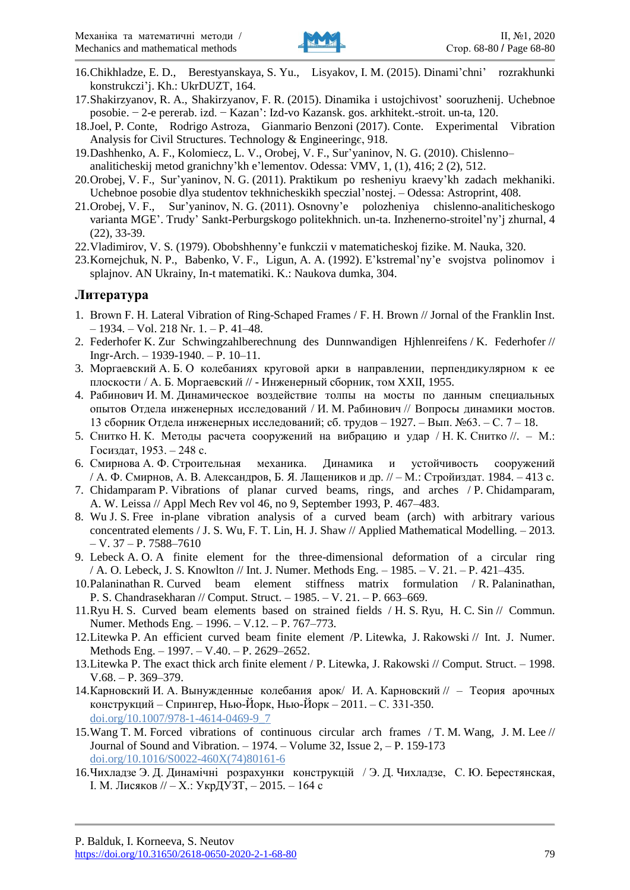

- 16.Chikhladze, E. D., Berestyanskaya, S. Yu., Lisyakov, I. M. (2015). Dinami'chni' rozrakhunki konstrukczi'j. Kh.: UkrDUZT, 164.
- 17.Shakirzyanov, R. A., Shakirzyanov, F. R. (2015). Dinamika i ustojchivost' sooruzhenij. Uchebnoe posobie. − 2-e pererab. izd. − Kazan': Izd-vo Kazansk. gos. arkhitekt.-stroit. un-ta, 120.
- 18.Joel, P. Conte, Rodrigo Astroza, Gianmario Benzoni (2017). Conte. Experimental Vibration Analysis for Civil Structures. Technology & Engineeringє, 918.
- 19.Dashhenko, A. F., Kolomiecz, L. V., Orobej, V. F., Sur'yaninov, N. G. (2010). Chislenno– analiticheskij metod granichny'kh e'lementov. Odessa: VMV, 1, (1), 416; 2 (2), 512.
- 20.Orobej, V. F., Sur'yaninov, N. G. (2011). Praktikum po resheniyu kraevy'kh zadach mekhaniki. Uchebnoe posobie dlya studentov tekhnicheskikh speczial'nostej. – Odessa: Astroprint, 408.
- 21.Orobej, V. F., Sur'yaninov, N. G. (2011). Osnovny'e polozheniya chislenno-analiticheskogo varianta MGE'. Trudy' Sankt-Perburgskogo politekhnich. un-ta. Inzhenerno-stroitel'ny'j zhurnal, 4 (22), 33-39.
- 22.Vladimirov, V. S. (1979). Obobshhenny'e funkczii v matematicheskoj fizike. M. Nauka, 320.
- 23.Kornejchuk, N. P., Babenko, V. F., Ligun, A. A. (1992). E'kstremal'ny'e svojstva polinomov i splajnov. AN Ukrainy, In-t matematiki. K.: Naukova dumka, 304.

#### **Литература**

- 1. Вrown F. Н. Lateral Vibration of Ring-Schaped Frames / F. Н. Вrown // Jornal of the Franklin Inst. – 1934. – Vol. 218 Nr. 1. – P. 41–48.
- 2. Federhofer K. Zur Schwingzahlberechnung des Dunnwandigen Hjhlenreifens / K. Federhofer // Ingr-Arch. – 1939-1940. – P. 10–11.
- 3. Моргаевский А. Б. О колебаниях круговой арки в направлении, перпендикулярном к ее плоскости / А. Б. Моргаевский // - Инженерный сборник, том XXII, 1955.
- 4. Рабинович И. М. Динамическое воздействие толпы на мосты по данным специальных опытов Отдела инженерных исследований / И. М. Рабинович // Вопросы динамики мостов. 13 сборник Отдела инженерных исследований; сб. трудов – 1927. – Вып. №63. – С. 7 – 18.
- 5. Снитко Н. К. Методы расчета сооружений на вибрацию и удар / Н. К. Снитко //. М.: Госиздат, 1953. – 248 с.
- 6. Смирнова А. Ф. Строительная механика. Динамика и устойчивость сооружений / А. Ф. Смирнов, А. В. Александров, Б. Я. Лащеников и др. // – М.: Стройиздат. 1984. – 413 с.
- 7. Chidamparam P. Vibrations of planar curved beams, rings, and arches / P. Chidamparam, A. W. Leissa // Appl Mech Rev vol 46, no 9, September 1993, P. 467–483.
- 8. Wu J. S. Free in-plane vibration analysis of a curved beam (arch) with arbitrary various concentrated elements / J. S. Wu, F. T. Lin, H. J. Shaw // Applied Mathematical Modelling. – 2013.  $-$  V. 37 – P. 7588–7610
- 9. Lebeck A. O. A finite element for the three-dimensional deformation of a circular ring / A. O. Lebeck, J. S. Knowlton // Int. J. Numer. Methods Eng. – 1985. – V. 21. – P. 421–435.
- 10.Palaninathan R. Curved beam element stiffness matrix formulation / R. Palaninathan, P. S. Chandrasekharan // Comput. Struct. – 1985. – V. 21. – P. 663–669.
- 11.Ryu H. S. Curved beam elements based on strained fields / H. S. Ryu, H. C. Sin // Commun. Numer. Methods Eng. – 1996. – V.12. – P. 767–773.
- 12.Litewka P. An efficient curved beam finite element /P. Litewka, J. Rakowski // Int. J. Numer. Methods Eng. – 1997. – V.40. – P. 2629–2652.
- 13.Litewka P. The exact thick arch finite element / P. Litewka, J. Rakowski // Comput. Struct. 1998. V.68. – P. 369–379.
- 14.Карновский И. А. Вынужденные колебания арок/ И. А. Карновский // Теория арочных конструкций – Спрингер, Нью-Йорк, Нью-Йорк – 2011. – С. 331-350. doi.org/[10.1007/978-1-4614-0469-9\\_7](https://doi.org/10.1007/978-1-4614-0469-9_7)
- 15.Wang T. M. Forced vibrations of continuous circular arch frames / T. M. Wang, J. M. Lee // Journal of Sound and Vibration.  $-1974.$  – Volume 32, Issue  $2, -P$ . 159-173 [doi.org/10.1016/S0022-460X\(74\)80161-6](https://doi.org/10.1016/S0022-460X(74)80161-6)
- 16.Чихладзе Э. Д. Динамічні розрахунки конструкцій / Э. Д. Чихладзе, С. Ю. Берестянская, І. М. Лисяков // – Х.: УкрДУЗТ, – 2015. – 164 с